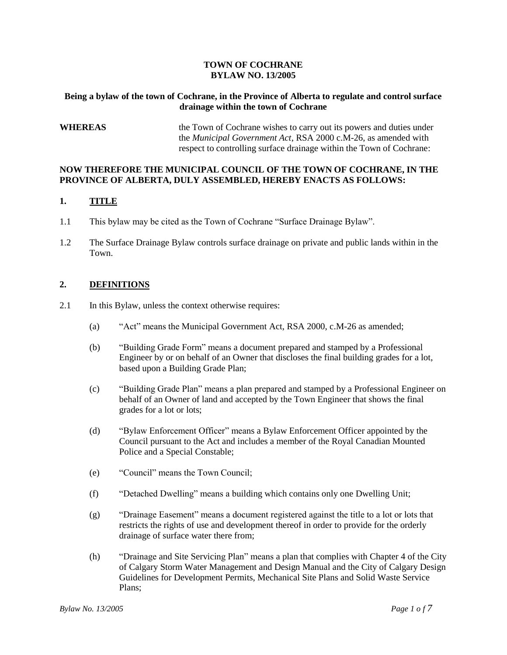#### **TOWN OF COCHRANE BYLAW NO. 13/2005**

#### **Being a bylaw of the town of Cochrane, in the Province of Alberta to regulate and control surface drainage within the town of Cochrane**

### **WHEREAS** the Town of Cochrane wishes to carry out its powers and duties under the *Municipal Government Act*, RSA 2000 c.M-26, as amended with respect to controlling surface drainage within the Town of Cochrane:

#### **NOW THEREFORE THE MUNICIPAL COUNCIL OF THE TOWN OF COCHRANE, IN THE PROVINCE OF ALBERTA, DULY ASSEMBLED, HEREBY ENACTS AS FOLLOWS:**

#### **1. TITLE**

- 1.1 This bylaw may be cited as the Town of Cochrane "Surface Drainage Bylaw".
- 1.2 The Surface Drainage Bylaw controls surface drainage on private and public lands within in the Town.

#### **2. DEFINITIONS**

- 2.1 In this Bylaw, unless the context otherwise requires:
	- (a) "Act" means the Municipal Government Act, RSA 2000, c.M-26 as amended;
	- (b) "BuildingGradeForm"meansa document prepared and stamped by a Professional Engineer by or on behalf of an Owner that discloses the final building grades for a lot, based upon a Building Grade Plan;
	- (c) "Building Grade Plan" means a plan prepared and stamped by a Professional Engineer on behalf of an Owner of land and accepted by the Town Engineer that shows the final grades for a lot or lots;
	- (d) "BylawEnforcementOfficer"means a Bylaw Enforcement Officer appointed by the Council pursuant to the Act and includes a member of the Royal Canadian Mounted Police and a Special Constable;
	- (e) "Council" means the Town Council;
	- (f) "DetachedDwelling"meansabuilding which contains only one Dwelling Unit;
	- $(g)$  "Drainage Easement" means a document registered against the title to a lot or lots that restricts the rights of use and development thereof in order to provide for the orderly drainage of surface water there from;
	- (h) "Drainage and Site Servicing Plan" means a plan that complies with Chapter 4 of the City of Calgary Storm Water Management and Design Manual and the City of Calgary Design Guidelines for Development Permits, Mechanical Site Plans and Solid Waste Service Plans;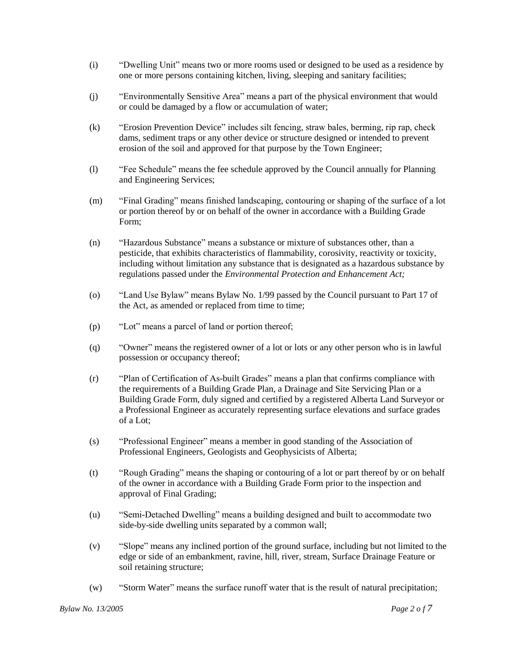- (i) "DwellingUnit"means two or more rooms used or designed to be used as a residence by one or more persons containing kitchen, living, sleeping and sanitary facilities;
- (j) "Environmentally Sensitive Area" means a part of the physical environment that would or could be damaged by a flow or accumulation of water;
- (k) "Erosion Prevention Device" includes silt fencing, straw bales, berming, rip rap, check dams, sediment traps or any other device or structure designed or intended to prevent erosion of the soil and approved for that purpose by the Town Engineer;
- (l) "FeeSchedule"meansthe fee schedule approved by the Council annually for Planning and Engineering Services;
- (m) "Final Grading" means finished landscaping, contouring or shaping of the surface of a lot or portion thereof by or on behalf of the owner in accordance with a Building Grade Form;
- (n) "HazardousSubstance"meansa substance or mixture of substances other, than a pesticide, that exhibits characteristics of flammability, corosivity, reactivity or toxicity, including without limitation any substance that is designated as a hazardous substance by regulations passed under the *Environmental Protection and Enhancement Act;*
- (o) "LandUseBylaw"meansBylaw No. 1/99 passed by the Council pursuant to Part 17 of the Act, as amended or replaced from time to time;
- (p) "Lot" means a parcel of land or portion thereof;
- (q) "Owner"meansthe registered owner of a lot or lots or any other person who is in lawful possession or occupancy thereof;
- (r) "PlanofCertificationofAs-built Grades"meansa plan that confirms compliance with the requirements of a Building Grade Plan, a Drainage and Site Servicing Plan or a Building Grade Form, duly signed and certified by a registered Alberta Land Surveyor or a Professional Engineer as accurately representing surface elevations and surface grades of a Lot;
- (s) "Professional Engineer" means a member in good standing of the Association of Professional Engineers, Geologists and Geophysicists of Alberta;
- (t) "Rough Grading" means the shaping or contouring of a lot or part thereof by or on behalf of the owner in accordance with a Building Grade Form prior to the inspection and approval of Final Grading;
- (u) "Semi-Detached Dwelling" means a building designed and built to accommodate two side-by-side dwelling units separated by a common wall;
- (v) "Slope"meansany inclined portion of the ground surface, including but not limited to the edge or side of an embankment, ravine, hill, river, stream, Surface Drainage Feature or soil retaining structure;
- (w) "Storm Water" means the surface runoff water that is the result of natural precipitation;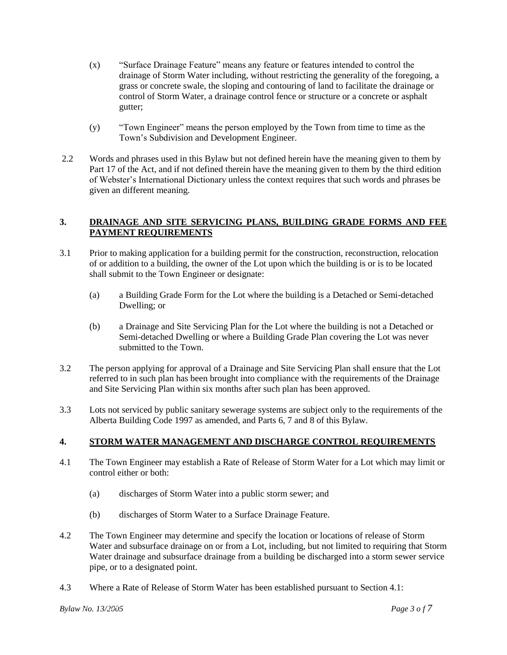- $(x)$  "Surface Drainage Feature" means any feature or features intended to control the drainage of Storm Water including, without restricting the generality of the foregoing, a grass or concrete swale, the sloping and contouring of land to facilitate the drainage or control of Storm Water, a drainage control fence or structure or a concrete or asphalt gutter;
- (y) "TownEngineer"meansthepersonemployed by the Town from time to time as the Town's Subdivision and Development Engineer.
- 2.2 Words and phrases used in this Bylaw but not defined herein have the meaning given to them by Part 17 of the Act, and if not defined therein have the meaning given to them by the third edition of Webster's International Dictionary unless the context requires that such words and phrases be given an different meaning.

## **3. DRAINAGE AND SITE SERVICING PLANS, BUILDING GRADE FORMS AND FEE PAYMENT REQUIREMENTS**

- 3.1 Prior to making application for a building permit for the construction, reconstruction, relocation of or addition to a building, the owner of the Lot upon which the building is or is to be located shall submit to the Town Engineer or designate:
	- (a) a Building Grade Form for the Lot where the building is a Detached or Semi-detached Dwelling; or
	- (b) a Drainage and Site Servicing Plan for the Lot where the building is not a Detached or Semi-detached Dwelling or where a Building Grade Plan covering the Lot was never submitted to the Town.
- 3.2 The person applying for approval of a Drainage and Site Servicing Plan shall ensure that the Lot referred to in such plan has been brought into compliance with the requirements of the Drainage and Site Servicing Plan within six months after such plan has been approved.
- 3.3 Lots not serviced by public sanitary sewerage systems are subject only to the requirements of the Alberta Building Code 1997 as amended, and Parts 6, 7 and 8 of this Bylaw.

## **4. STORM WATER MANAGEMENT AND DISCHARGE CONTROL REQUIREMENTS**

- 4.1 The Town Engineer may establish a Rate of Release of Storm Water for a Lot which may limit or control either or both:
	- (a) discharges of Storm Water into a public storm sewer; and
	- (b) discharges of Storm Water to a Surface Drainage Feature.
- 4.2 The Town Engineer may determine and specify the location or locations of release of Storm Water and subsurface drainage on or from a Lot, including, but not limited to requiring that Storm Water drainage and subsurface drainage from a building be discharged into a storm sewer service pipe, or to a designated point.
- 4.3 Where a Rate of Release of Storm Water has been established pursuant to Section 4.1: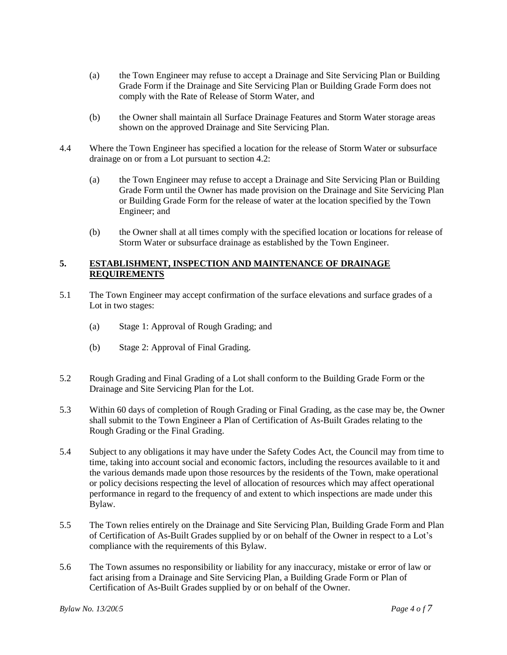- (a) the Town Engineer may refuse to accept a Drainage and Site Servicing Plan or Building Grade Form if the Drainage and Site Servicing Plan or Building Grade Form does not comply with the Rate of Release of Storm Water, and
- (b) the Owner shall maintain all Surface Drainage Features and Storm Water storage areas shown on the approved Drainage and Site Servicing Plan.
- 4.4 Where the Town Engineer has specified a location for the release of Storm Water or subsurface drainage on or from a Lot pursuant to section 4.2:
	- (a) the Town Engineer may refuse to accept a Drainage and Site Servicing Plan or Building Grade Form until the Owner has made provision on the Drainage and Site Servicing Plan or Building Grade Form for the release of water at the location specified by the Town Engineer; and
	- (b) the Owner shall at all times comply with the specified location or locations for release of Storm Water or subsurface drainage as established by the Town Engineer.

#### **5. ESTABLISHMENT, INSPECTION AND MAINTENANCE OF DRAINAGE REQUIREMENTS**

- 5.1 The Town Engineer may accept confirmation of the surface elevations and surface grades of a Lot in two stages:
	- (a) Stage 1: Approval of Rough Grading; and
	- (b) Stage 2: Approval of Final Grading.
- 5.2 Rough Grading and Final Grading of a Lot shall conform to the Building Grade Form or the Drainage and Site Servicing Plan for the Lot.
- 5.3 Within 60 days of completion of Rough Grading or Final Grading, as the case may be, the Owner shall submit to the Town Engineer a Plan of Certification of As-Built Grades relating to the Rough Grading or the Final Grading.
- 5.4 Subject to any obligations it may have under the Safety Codes Act, the Council may from time to time, taking into account social and economic factors, including the resources available to it and the various demands made upon those resources by the residents of the Town, make operational or policy decisions respecting the level of allocation of resources which may affect operational performance in regard to the frequency of and extent to which inspections are made under this Bylaw.
- 5.5 The Town relies entirely on the Drainage and Site Servicing Plan, Building Grade Form and Plan of Certification of As-Built Grades supplied by or on behalf of the Owner in respect to a Lot's compliance with the requirements of this Bylaw.
- 5.6 The Town assumes no responsibility or liability for any inaccuracy, mistake or error of law or fact arising from a Drainage and Site Servicing Plan, a Building Grade Form or Plan of Certification of As-Built Grades supplied by or on behalf of the Owner.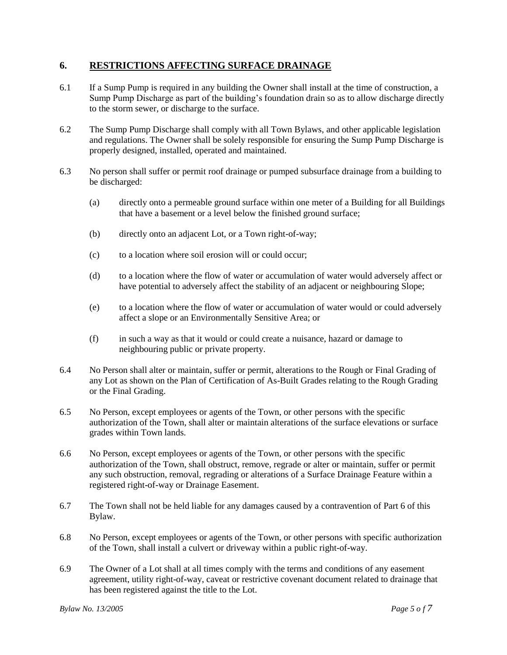## **6. RESTRICTIONS AFFECTING SURFACE DRAINAGE**

- 6.1 If a Sump Pump is required in any building the Owner shall install at the time of construction, a Sump Pump Discharge as part of the building's foundation drain so as to allow discharge directly to the storm sewer, or discharge to the surface.
- 6.2 The Sump Pump Discharge shall comply with all Town Bylaws, and other applicable legislation and regulations. The Owner shall be solely responsible for ensuring the Sump Pump Discharge is properly designed, installed, operated and maintained.
- 6.3 No person shall suffer or permit roof drainage or pumped subsurface drainage from a building to be discharged:
	- (a) directly onto a permeable ground surface within one meter of a Building for all Buildings that have a basement or a level below the finished ground surface;
	- (b) directly onto an adjacent Lot, or a Town right-of-way;
	- (c) to a location where soil erosion will or could occur;
	- (d) to a location where the flow of water or accumulation of water would adversely affect or have potential to adversely affect the stability of an adjacent or neighbouring Slope;
	- (e) to a location where the flow of water or accumulation of water would or could adversely affect a slope or an Environmentally Sensitive Area; or
	- (f) in such a way as that it would or could create a nuisance, hazard or damage to neighbouring public or private property.
- 6.4 No Person shall alter or maintain, suffer or permit, alterations to the Rough or Final Grading of any Lot as shown on the Plan of Certification of As-Built Grades relating to the Rough Grading or the Final Grading.
- 6.5 No Person, except employees or agents of the Town, or other persons with the specific authorization of the Town, shall alter or maintain alterations of the surface elevations or surface grades within Town lands.
- 6.6 No Person, except employees or agents of the Town, or other persons with the specific authorization of the Town, shall obstruct, remove, regrade or alter or maintain, suffer or permit any such obstruction, removal, regrading or alterations of a Surface Drainage Feature within a registered right-of-way or Drainage Easement.
- 6.7 The Town shall not be held liable for any damages caused by a contravention of Part 6 of this Bylaw.
- 6.8 No Person, except employees or agents of the Town, or other persons with specific authorization of the Town, shall install a culvert or driveway within a public right-of-way.
- 6.9 The Owner of a Lot shall at all times comply with the terms and conditions of any easement agreement, utility right-of-way, caveat or restrictive covenant document related to drainage that has been registered against the title to the Lot.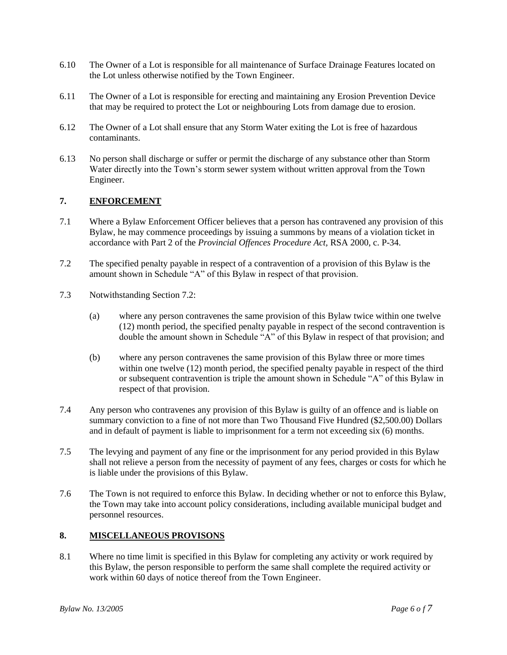- 6.10 The Owner of a Lot is responsible for all maintenance of Surface Drainage Features located on the Lot unless otherwise notified by the Town Engineer.
- 6.11 The Owner of a Lot is responsible for erecting and maintaining any Erosion Prevention Device that may be required to protect the Lot or neighbouring Lots from damage due to erosion.
- 6.12 The Owner of a Lot shall ensure that any Storm Water exiting the Lot is free of hazardous contaminants.
- 6.13 No person shall discharge or suffer or permit the discharge of any substance other than Storm Water directly into the Town's storm sewer system without written approval from the Town Engineer.

## **7. ENFORCEMENT**

- 7.1 Where a Bylaw Enforcement Officer believes that a person has contravened any provision of this Bylaw, he may commence proceedings by issuing a summons by means of a violation ticket in accordance with Part 2 of the *Provincial Offences Procedure Act,* RSA 2000, c. P-34.
- 7.2 The specified penalty payable in respect of a contravention of a provision of this Bylaw is the amount shown in Schedule "A" of this Bylaw in respect of that provision.
- 7.3 Notwithstanding Section 7.2:
	- (a) where any person contravenes the same provision of this Bylaw twice within one twelve (12) month period, the specified penalty payable in respect of the second contravention is double the amount shown in Schedule "A" of this Bylaw in respect of that provision; and
	- (b) where any person contravenes the same provision of this Bylaw three or more times within one twelve (12) month period, the specified penalty payable in respect of the third or subsequent contravention is triple the amount shown in Schedule "A" of this Bylaw in respect of that provision.
- 7.4 Any person who contravenes any provision of this Bylaw is guilty of an offence and is liable on summary conviction to a fine of not more than Two Thousand Five Hundred (\$2,500.00) Dollars and in default of payment is liable to imprisonment for a term not exceeding six (6) months.
- 7.5 The levying and payment of any fine or the imprisonment for any period provided in this Bylaw shall not relieve a person from the necessity of payment of any fees, charges or costs for which he is liable under the provisions of this Bylaw.
- 7.6 The Town is not required to enforce this Bylaw. In deciding whether or not to enforce this Bylaw, the Town may take into account policy considerations, including available municipal budget and personnel resources.

## **8. MISCELLANEOUS PROVISONS**

8.1 Where no time limit is specified in this Bylaw for completing any activity or work required by this Bylaw, the person responsible to perform the same shall complete the required activity or work within 60 days of notice thereof from the Town Engineer.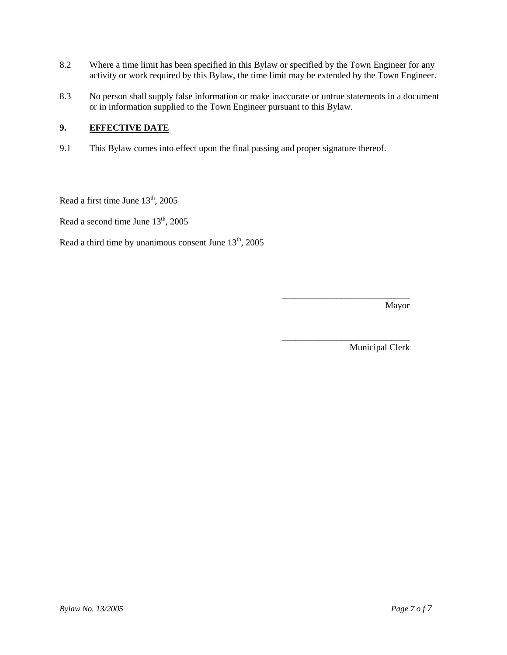- 8.2 Where a time limit has been specified in this Bylaw or specified by the Town Engineer for any activity or work required by this Bylaw, the time limit may be extended by the Town Engineer.
- 8.3 No person shall supply false information or make inaccurate or untrue statements in a document or in information supplied to the Town Engineer pursuant to this Bylaw.

## **9. EFFECTIVE DATE**

9.1 This Bylaw comes into effect upon the final passing and proper signature thereof.

Read a first time June  $13<sup>th</sup>$ , 2005

Read a second time June  $13<sup>th</sup>$ , 2005

Read a third time by unanimous consent June  $13<sup>th</sup>$ , 2005

Mayor

Municipal Clerk

\_\_\_\_\_\_\_\_\_\_\_\_\_\_\_\_\_\_\_\_\_\_\_\_\_\_\_\_

\_\_\_\_\_\_\_\_\_\_\_\_\_\_\_\_\_\_\_\_\_\_\_\_\_\_\_\_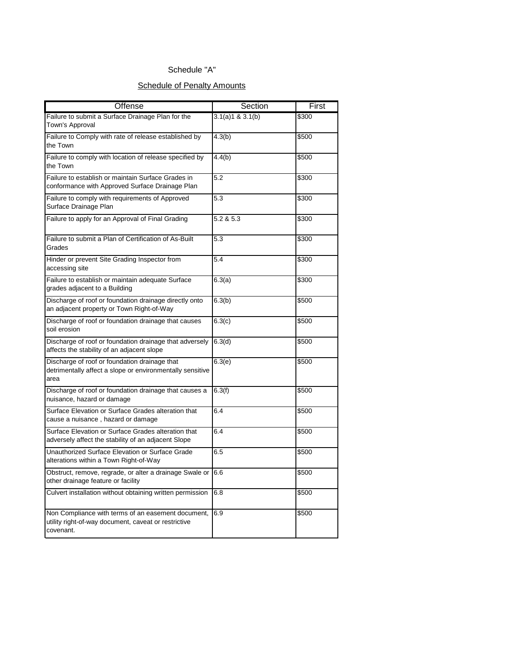## Schedule "A"

## **Schedule of Penalty Amounts**

| Offense                                                                                                                 | Section          | First |
|-------------------------------------------------------------------------------------------------------------------------|------------------|-------|
| Failure to submit a Surface Drainage Plan for the<br>Town's Approval                                                    | 3.1(a)1 & 3.1(b) | \$300 |
| Failure to Comply with rate of release established by<br>the Town                                                       | 4.3(b)           | \$500 |
| Failure to comply with location of release specified by<br>the Town                                                     | 4.4(b)           | \$500 |
| Failure to establish or maintain Surface Grades in<br>conformance with Approved Surface Drainage Plan                   | 5.2              | \$300 |
| Failure to comply with requirements of Approved<br>Surface Drainage Plan                                                | 5.3              | \$300 |
| Failure to apply for an Approval of Final Grading                                                                       | 5.2 & 5.3        | \$300 |
| Failure to submit a Plan of Certification of As-Built<br>Grades                                                         | 5.3              | \$300 |
| Hinder or prevent Site Grading Inspector from<br>accessing site                                                         | 5.4              | \$300 |
| Failure to establish or maintain adequate Surface<br>grades adjacent to a Building                                      | 6.3(a)           | \$300 |
| Discharge of roof or foundation drainage directly onto<br>an adjacent property or Town Right-of-Way                     | 6.3(b)           | \$500 |
| Discharge of roof or foundation drainage that causes<br>soil erosion                                                    | 6.3(c)           | \$500 |
| Discharge of roof or foundation drainage that adversely<br>affects the stability of an adjacent slope                   | 6.3(d)           | \$500 |
| Discharge of roof or foundation drainage that<br>detrimentally affect a slope or environmentally sensitive<br>area      | 6.3(e)           | \$500 |
| Discharge of roof or foundation drainage that causes a<br>nuisance, hazard or damage                                    | 6.3(f)           | \$500 |
| Surface Elevation or Surface Grades alteration that<br>cause a nuisance, hazard or damage                               | 6.4              | \$500 |
| Surface Elevation or Surface Grades alteration that<br>adversely affect the stability of an adjacent Slope              | 6.4              | \$500 |
| Unauthorized Surface Elevation or Surface Grade<br>alterations within a Town Right-of-Way                               | 6.5              | \$500 |
| Obstruct, remove, regrade, or alter a drainage Swale or 16.6<br>other drainage feature or facility                      |                  | \$500 |
| Culvert installation without obtaining written permission                                                               | 6.8              | \$500 |
| Non Compliance with terms of an easement document,<br>utility right-of-way document, caveat or restrictive<br>covenant. | 6.9              | \$500 |